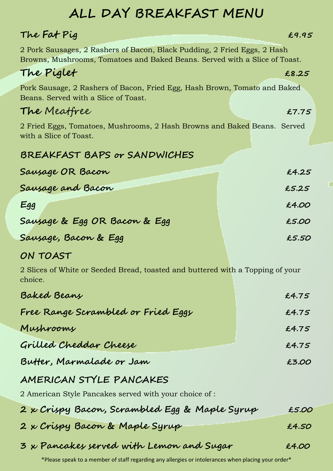# **ALL DAY BREAKFAST MENU**

# **The Fat Pig £9.95** 2 Pork Sausages, 2 Rashers of Bacon, Black Pudding, 2 Fried Eggs, 2 Hash Browns, Mushrooms, Tomatoes and Baked Beans. Served with a Slice of Toast. **The Piglet £8.25** Pork Sausage, 2 Rashers of Bacon, Fried Egg, Hash Brown, Tomato and Baked Beans. Served with a Slice of Toast. **The** Meatfree **£7.75** 2 Fried Eggs, Tomatoes, Mushrooms, 2 Hash Browns and Baked Beans. Served with a Slice of Toast. **BREAKFAST BAPS or SANDWICHES Sausage OR Bacon £4.25 Sausage and Bacon £5.25 Egg £4.00 Sausage & Egg OR Bacon & Egg £5.00 Sausage, Bacon & Egg**<br> **ES.50**

#### **ON TOAST**

2 Slices of White or Seeded Bread, toasted and buttered with a Topping of your choice.

| Baked Beans                                            | £4.75 |
|--------------------------------------------------------|-------|
| Free Range Scrambled or Fried Eggs                     | £4.75 |
| Mushrooms                                              | £4.75 |
| Grilled Cheddar Cheese                                 | £4.75 |
| Butter, Marmalade or Jam                               | £3.OO |
| AMERICAN STYLE PANCAKES                                |       |
| 2 American Style Pancakes served with your choice of : |       |
| 2 x Crispy Bacon, Scrambled Egg & Maple Syrup          | £5.00 |
| 2 x Crispy Bacon & Maple Syrup                         | £4.50 |
| 3 x Pancakes served with Lemon and Sugar               | £4.00 |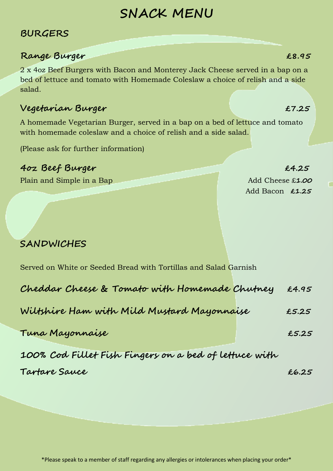# **SNACK MENU**

#### **BURGERS**

#### **Range Burger £8.95**

2 x 4oz Beef Burgers with Bacon and Monterey Jack Cheese served in a bap on a bed of lettuce and tomato with Homemade Coleslaw a choice of relish and a side salad.

#### **Vegetarian Burger £7.25**

A homemade Vegetarian Burger, served in a bap on a bed of lettuce and tomato with homemade coleslaw and a choice of relish and a side salad.

(Please ask for further information)

#### **4oz Beef Burger £4.25**

Plain and Simple in a Bap Add Cheese £1.00

Add Bacon **£1.25**

## **SANDWICHES**

Served on White or Seeded Bread with Tortillas and Salad Garnish

| Cheddar Cheese & Tomato with Homemade Chutney         | £4.95 |
|-------------------------------------------------------|-------|
| Wiltshire Ham with Mild Mustard Mayonnaise            | £5.25 |
| Tuna Mayonnaise                                       | £5.25 |
| 100% Cod Fillet Fish Fingers on a bed of lettuce with |       |
| Tartare Sauce                                         | £6.25 |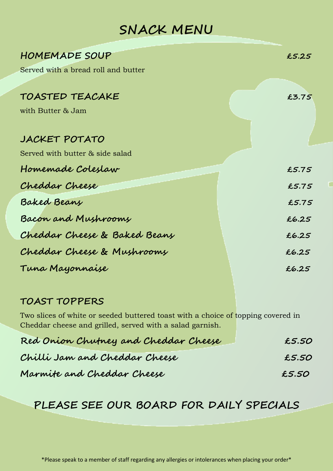# **SNACK MENU**

| <b>HOMEMADE SOUP</b>                | £5.25 |
|-------------------------------------|-------|
| Served with a bread roll and butter |       |
|                                     |       |
| TOASTED TEACAKE                     | £3.75 |
| with Butter & Jam                   |       |
|                                     |       |
| JACKET POTATO                       |       |
| Served with butter & side salad     |       |
| Homemade Coleslaw                   | £5.75 |
| Cheddar Cheese                      | £5.75 |
| Baked Beans                         | £5.75 |
| Bacon and Mushrooms                 | £6.25 |
| Cheddar Cheese & Baked Beans        | £6.25 |
| Cheddar Cheese & Mushrooms          | £6.25 |
| Tuna Mayonnaise                     | £6.25 |

г

#### **TOAST TOPPERS**

Two slices of white or seeded buttered toast with a choice of topping covered in Cheddar cheese and grilled, served with a salad garnish.

| Red Onion Chutney and Cheddar Cheese | £5.50 |
|--------------------------------------|-------|
| Chilli Jam and Cheddar Cheese        | £5.50 |
| Marmite and Cheddar Cheese           | £5.50 |

## **PLEASE SEE OUR BOARD FOR DAILY SPECIALS**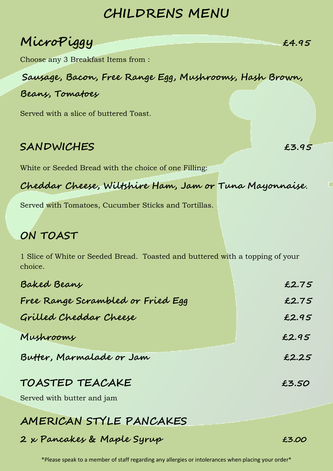# **CHILDRENS MENU**

| MicroPiggy | £4.95 |
|------------|-------|
|            |       |

Choose any 3 Breakfast Items from :

**Sausage, Bacon, Free Range Egg, Mushrooms, Hash Brown,** 

#### **Beans, Tomatoes**

Served with a slice of buttered Toast.

### **SANDWICHES £3.95**

White or Seeded Bread with the choice of one Filling:

**Cheddar Cheese, Wiltshire Ham, Jam or Tuna Mayonnaise**.

Served with Tomatoes, Cucumber Sticks and Tortillas.

## **ON TOAST**

1 Slice of White or Seeded Bread. Toasted and buttered with a topping of your choice.

| Baked Beans                       | £2.75 |
|-----------------------------------|-------|
| Free Range Scrambled or Fried Egg | £2.75 |
| Grilled Cheddar Cheese            | £2.95 |
| Mushrooms                         | £2.95 |
| Butter, Marmalade or Jam          | £2.25 |
|                                   |       |

#### **TOASTED TEACAKE £3.50**

Served with butter and jam

# **AMERICAN STYLE PANCAKES**

#### **2 x Pancakes & Maple Syrup £3.00**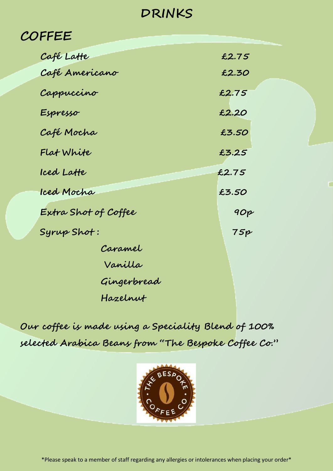# **DRINKS**

# **COFFEE**

| Café Latte           | £2.75 |
|----------------------|-------|
| Café Americano       | £2.30 |
| Cappuccino           | £2.75 |
| Espresso             | £2.20 |
| Café Mocha           | £3.50 |
| Flat White           | £3.25 |
| Iced Latte           | £2.75 |
| Iced Mocha           | £3.50 |
| Extra Shot of Coffee | 90p   |
| Syrup Shot:          | 75p   |
| Caramel              |       |
| Vanilla              |       |
| Gingerbread          |       |
| Hazelnut             |       |

Ċ

**Our coffee is made using a Speciality Blend of 100% selected Arabica Beans from "The Bespoke Coffee Co."** 

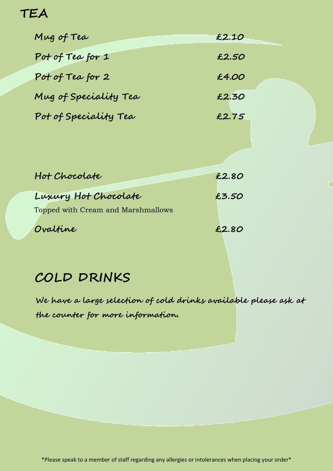# **TEA**

| Mug of Tea            | £2.10 |
|-----------------------|-------|
| Pot of Tea for 1      | £2.50 |
| Pot of Tea for 2      | £4.00 |
| Mug of Speciality Tea | £2.30 |
| Pot of Speciality Tea | £2.75 |
|                       |       |

п

| Hot Chocolate                      | £2.80 |
|------------------------------------|-------|
| Luxury Hot Chocolate               | £3.50 |
| Topped with Cream and Marshmallows |       |
| Ovaltine                           | £2.80 |

# **COLD DRINKS**

 **We have a large selection of cold drinks available please ask at the counter for more information.**